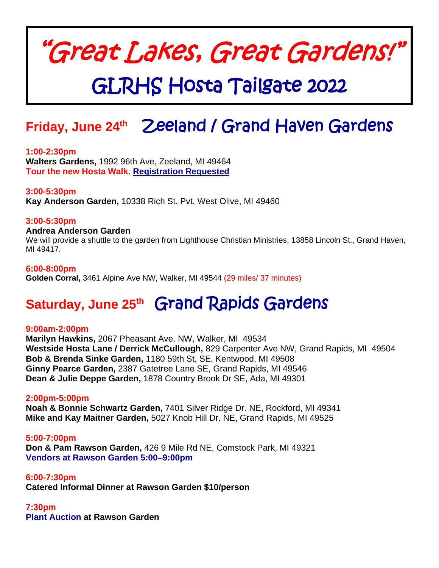# "Great Lakes, Great Gardens!"

## GLRHS Hosta Tailgate 2022

### **Friday, June 24th** Zeeland / Grand Haven Gardens

### **1:00-2:30pm**

**Walters Gardens,** 1992 96th Ave, Zeeland, MI 49464 **Tour the new Hosta Walk. Registration Requested**

### **3:00-5:30pm**

**Kay Anderson Garden,** 10338 Rich St. Pvt, West Olive, MI 49460

### **3:00-5:30pm**

### **Andrea Anderson Garden**

We will provide a shuttle to the garden from Lighthouse Christian Ministries, 13858 Lincoln St., Grand Haven, MI 49417.

#### **6:00-8:00pm**

**Golden Corral,** 3461 Alpine Ave NW, Walker, MI 49544 (29 miles/ 37 minutes)

### **Saturday, June 25th** Grand Rapids Gardens

#### **9:00am-2:00pm**

**Marilyn Hawkins,** 2067 Pheasant Ave. NW, Walker, MI 49534 **Westside Hosta Lane / Derrick McCullough,** 829 Carpenter Ave NW, Grand Rapids, MI 49504 **Bob & Brenda Sinke Garden,** 1180 59th St, SE, Kentwood, MI 49508 **Ginny Pearce Garden,** 2387 Gatetree Lane SE, Grand Rapids, MI 49546 **Dean & Julie Deppe Garden,** 1878 Country Brook Dr SE, Ada, MI 49301

#### **2:00pm-5:00pm**

**Noah & Bonnie Schwartz Garden,** 7401 Silver Ridge Dr. NE, Rockford, MI 49341 **Mike and Kay Maitner Garden,** 5027 Knob Hill Dr. NE, Grand Rapids, MI 49525

**5:00-7:00pm Don & Pam Rawson Garden,** 426 9 Mile Rd NE, Comstock Park, MI 49321 **Vendors at Rawson Garden 5:00–9:00pm**

**6:00-7:30pm Catered Informal Dinner at Rawson Garden \$10/person**

**7:30pm Plant Auction at Rawson Garden**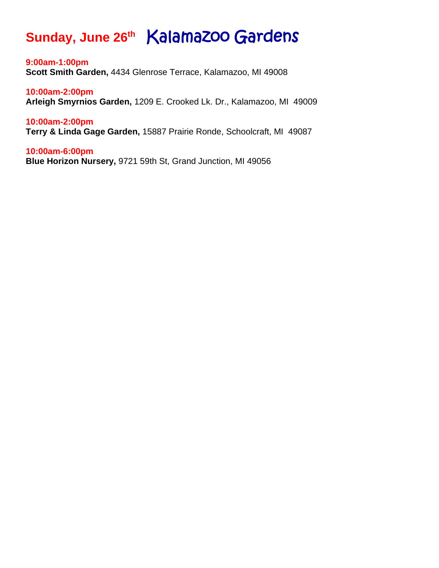### **Sunday, June 26th** Kalamazoo Gardens

**9:00am-1:00pm Scott Smith Garden,** 4434 Glenrose Terrace, Kalamazoo, MI 49008

**10:00am-2:00pm Arleigh Smyrnios Garden,** 1209 E. Crooked Lk. Dr., Kalamazoo, MI 49009

**10:00am-2:00pm Terry & Linda Gage Garden,** 15887 Prairie Ronde, Schoolcraft, MI 49087

**10:00am-6:00pm Blue Horizon Nursery,** 9721 59th St, Grand Junction, MI 49056